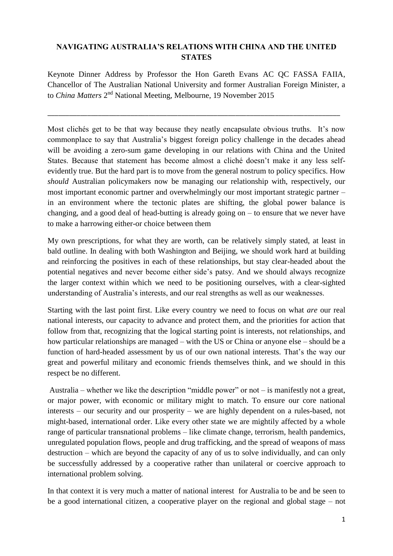## **NAVIGATING AUSTRALIA'S RELATIONS WITH CHINA AND THE UNITED STATES**

Keynote Dinner Address by Professor the Hon Gareth Evans AC QC FASSA FAIIA, Chancellor of The Australian National University and former Australian Foreign Minister, a to *China Matters* 2<sup>nd</sup> National Meeting, Melbourne, 19 November 2015

\_\_\_\_\_\_\_\_\_\_\_\_\_\_\_\_\_\_\_\_\_\_\_\_\_\_\_\_\_\_\_\_\_\_\_\_\_\_\_\_\_\_\_\_\_\_\_\_\_\_\_\_\_\_\_\_\_\_\_\_\_\_\_\_\_\_\_\_\_\_\_\_\_\_\_\_\_\_\_\_\_

Most clichés get to be that way because they neatly encapsulate obvious truths. It's now commonplace to say that Australia's biggest foreign policy challenge in the decades ahead will be avoiding a zero-sum game developing in our relations with China and the United States. Because that statement has become almost a cliché doesn't make it any less selfevidently true. But the hard part is to move from the general nostrum to policy specifics. How *should* Australian policymakers now be managing our relationship with, respectively, our most important economic partner and overwhelmingly our most important strategic partner – in an environment where the tectonic plates are shifting, the global power balance is changing, and a good deal of head-butting is already going on – to ensure that we never have to make a harrowing either-or choice between them

My own prescriptions, for what they are worth, can be relatively simply stated, at least in bald outline. In dealing with both Washington and Beijing, we should work hard at building and reinforcing the positives in each of these relationships, but stay clear-headed about the potential negatives and never become either side's patsy. And we should always recognize the larger context within which we need to be positioning ourselves, with a clear-sighted understanding of Australia's interests, and our real strengths as well as our weaknesses.

Starting with the last point first. Like every country we need to focus on what *are* our real national interests, our capacity to advance and protect them, and the priorities for action that follow from that, recognizing that the logical starting point is interests, not relationships, and how particular relationships are managed – with the US or China or anyone else – should be a function of hard-headed assessment by us of our own national interests. That's the way our great and powerful military and economic friends themselves think, and we should in this respect be no different.

Australia – whether we like the description "middle power" or not – is manifestly not a great, or major power, with economic or military might to match. To ensure our core national interests – our security and our prosperity – we are highly dependent on a rules-based, not might-based, international order. Like every other state we are mightily affected by a whole range of particular transnational problems – like climate change, terrorism, health pandemics, unregulated population flows, people and drug trafficking, and the spread of weapons of mass destruction – which are beyond the capacity of any of us to solve individually, and can only be successfully addressed by a cooperative rather than unilateral or coercive approach to international problem solving.

In that context it is very much a matter of national interest for Australia to be and be seen to be a good international citizen, a cooperative player on the regional and global stage – not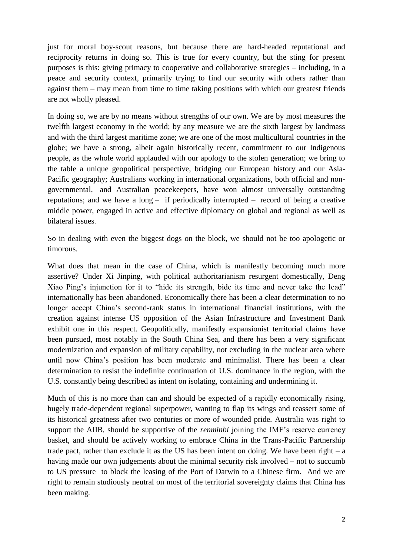just for moral boy-scout reasons, but because there are hard-headed reputational and reciprocity returns in doing so. This is true for every country, but the sting for present purposes is this: giving primacy to cooperative and collaborative strategies – including, in a peace and security context, primarily trying to find our security with others rather than against them – may mean from time to time taking positions with which our greatest friends are not wholly pleased.

In doing so, we are by no means without strengths of our own. We are by most measures the twelfth largest economy in the world; by any measure we are the sixth largest by landmass and with the third largest maritime zone; we are one of the most multicultural countries in the globe; we have a strong, albeit again historically recent, commitment to our Indigenous people, as the whole world applauded with our apology to the stolen generation; we bring to the table a unique geopolitical perspective, bridging our European history and our Asia-Pacific geography; Australians working in international organizations, both official and nongovernmental, and Australian peacekeepers, have won almost universally outstanding reputations; and we have a long – if periodically interrupted – record of being a creative middle power, engaged in active and effective diplomacy on global and regional as well as bilateral issues.

So in dealing with even the biggest dogs on the block, we should not be too apologetic or timorous.

What does that mean in the case of China, which is manifestly becoming much more assertive? Under Xi Jinping, with political authoritarianism resurgent domestically, Deng Xiao Ping's injunction for it to "hide its strength, bide its time and never take the lead" internationally has been abandoned. Economically there has been a clear determination to no longer accept China's second-rank status in international financial institutions, with the creation against intense US opposition of the Asian Infrastructure and Investment Bank exhibit one in this respect. Geopolitically, manifestly expansionist territorial claims have been pursued, most notably in the South China Sea, and there has been a very significant modernization and expansion of military capability, not excluding in the nuclear area where until now China's position has been moderate and minimalist. There has been a clear determination to resist the indefinite continuation of U.S. dominance in the region, with the U.S. constantly being described as intent on isolating, containing and undermining it.

Much of this is no more than can and should be expected of a rapidly economically rising, hugely trade-dependent regional superpower, wanting to flap its wings and reassert some of its historical greatness after two centuries or more of wounded pride. Australia was right to support the AIIB, should be supportive of the *renminbi* joining the IMF's reserve currency basket, and should be actively working to embrace China in the Trans-Pacific Partnership trade pact, rather than exclude it as the US has been intent on doing. We have been right  $-$  a having made our own judgements about the minimal security risk involved – not to succumb to US pressure to block the leasing of the Port of Darwin to a Chinese firm. And we are right to remain studiously neutral on most of the territorial sovereignty claims that China has been making.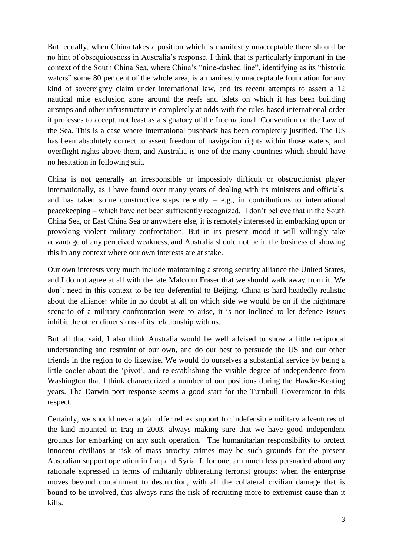But, equally, when China takes a position which is manifestly unacceptable there should be no hint of obsequiousness in Australia's response. I think that is particularly important in the context of the South China Sea, where China's "nine-dashed line", identifying as its "historic waters" some 80 per cent of the whole area, is a manifestly unacceptable foundation for any kind of sovereignty claim under international law, and its recent attempts to assert a 12 nautical mile exclusion zone around the reefs and islets on which it has been building airstrips and other infrastructure is completely at odds with the rules-based international order it professes to accept, not least as a signatory of the International Convention on the Law of the Sea. This is a case where international pushback has been completely justified. The US has been absolutely correct to assert freedom of navigation rights within those waters, and overflight rights above them, and Australia is one of the many countries which should have no hesitation in following suit.

China is not generally an irresponsible or impossibly difficult or obstructionist player internationally, as I have found over many years of dealing with its ministers and officials, and has taken some constructive steps recently  $-$  e.g., in contributions to international peacekeeping – which have not been sufficiently recognized. I don't believe that in the South China Sea, or East China Sea or anywhere else, it is remotely interested in embarking upon or provoking violent military confrontation. But in its present mood it will willingly take advantage of any perceived weakness, and Australia should not be in the business of showing this in any context where our own interests are at stake.

Our own interests very much include maintaining a strong security alliance the United States, and I do not agree at all with the late Malcolm Fraser that we should walk away from it. We don't need in this context to be too deferential to Beijing. China is hard-headedly realistic about the alliance: while in no doubt at all on which side we would be on if the nightmare scenario of a military confrontation were to arise, it is not inclined to let defence issues inhibit the other dimensions of its relationship with us.

But all that said, I also think Australia would be well advised to show a little reciprocal understanding and restraint of our own, and do our best to persuade the US and our other friends in the region to do likewise. We would do ourselves a substantial service by being a little cooler about the 'pivot', and re-establishing the visible degree of independence from Washington that I think characterized a number of our positions during the Hawke-Keating years. The Darwin port response seems a good start for the Turnbull Government in this respect.

Certainly, we should never again offer reflex support for indefensible military adventures of the kind mounted in Iraq in 2003, always making sure that we have good independent grounds for embarking on any such operation. The humanitarian responsibility to protect innocent civilians at risk of mass atrocity crimes may be such grounds for the present Australian support operation in Iraq and Syria. I, for one, am much less persuaded about any rationale expressed in terms of militarily obliterating terrorist groups: when the enterprise moves beyond containment to destruction, with all the collateral civilian damage that is bound to be involved, this always runs the risk of recruiting more to extremist cause than it kills.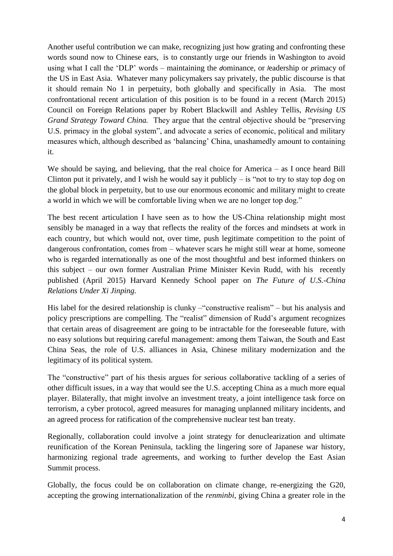Another useful contribution we can make, recognizing just how grating and confronting these words sound now to Chinese ears, is to constantly urge our friends in Washington to avoid using what I call the 'DLP' words – maintaining the *d*ominance, or *l*eadership or *p*rimacy of the US in East Asia. Whatever many policymakers say privately, the public discourse is that it should remain No 1 in perpetuity, both globally and specifically in Asia. The most confrontational recent articulation of this position is to be found in a recent (March 2015) Council on Foreign Relations paper by Robert Blackwill and Ashley Tellis, *Revising US Grand Strategy Toward China.* They argue that the central objective should be "preserving U.S. primacy in the global system", and advocate a series of economic, political and military measures which, although described as 'balancing' China, unashamedly amount to containing it.

We should be saying, and believing, that the real choice for America – as I once heard Bill Clinton put it privately, and I wish he would say it publicly  $-$  is "not to try to stay top dog on the global block in perpetuity, but to use our enormous economic and military might to create a world in which we will be comfortable living when we are no longer top dog."

The best recent articulation I have seen as to how the US-China relationship might most sensibly be managed in a way that reflects the reality of the forces and mindsets at work in each country, but which would not, over time, push legitimate competition to the point of dangerous confrontation, comes from – whatever scars he might still wear at home, someone who is regarded internationally as one of the most thoughtful and best informed thinkers on this subject – our own former Australian Prime Minister Kevin Rudd, with his recently published (April 2015) Harvard Kennedy School paper on *The Future of U.S.-China Relations Under Xi Jinping.* 

His label for the desired relationship is clunky –"constructive realism" – but his analysis and policy prescriptions are compelling. The "realist" dimension of Rudd's argument recognizes that certain areas of disagreement are going to be intractable for the foreseeable future, with no easy solutions but requiring careful management: among them Taiwan, the South and East China Seas, the role of U.S. alliances in Asia, Chinese military modernization and the legitimacy of its political system.

The "constructive" part of his thesis argues for serious collaborative tackling of a series of other difficult issues, in a way that would see the U.S. accepting China as a much more equal player. Bilaterally, that might involve an investment treaty, a joint intelligence task force on terrorism, a cyber protocol, agreed measures for managing unplanned military incidents, and an agreed process for ratification of the comprehensive nuclear test ban treaty.

Regionally, collaboration could involve a joint strategy for denuclearization and ultimate reunification of the Korean Peninsula, tackling the lingering sore of Japanese war history, harmonizing regional trade agreements, and working to further develop the East Asian Summit process.

Globally, the focus could be on collaboration on climate change, re-energizing the G20, accepting the growing internationalization of the *renminbi,* giving China a greater role in the